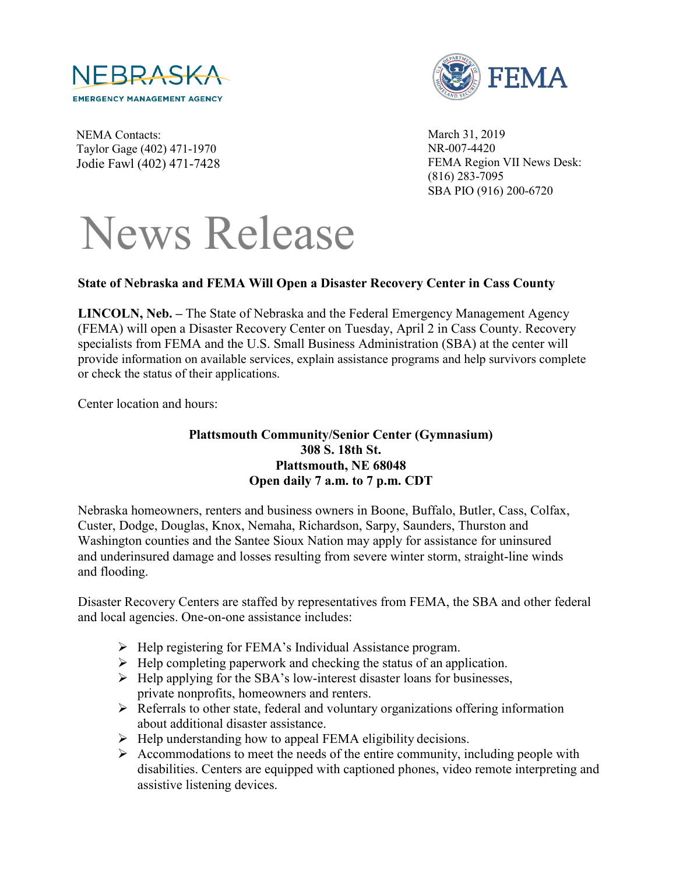



NEMA Contacts: Taylor Gage (402) 471-1970 Jodie Fawl (402) 471-7428 March 31, 2019 NR-007-4420 FEMA Region VII News Desk: (816) 283-7095 SBA PIO (916) 200-6720

## News Release

## **State of Nebraska and FEMA Will Open a Disaster Recovery Center in Cass County**

**LINCOLN, Neb. –** The State of Nebraska and the Federal Emergency Management Agency (FEMA) will open a Disaster Recovery Center on Tuesday, April 2 in Cass County. Recovery specialists from FEMA and the U.S. Small Business Administration (SBA) at the center will provide information on available services, explain assistance programs and help survivors complete or check the status of their applications.

Center location and hours:

## **Plattsmouth Community/Senior Center (Gymnasium) 308 S. 18th St. Plattsmouth, NE 68048 Open daily 7 a.m. to 7 p.m. CDT**

Nebraska homeowners, renters and business owners in Boone, Buffalo, Butler, Cass, Colfax, Custer, Dodge, Douglas, Knox, Nemaha, Richardson, Sarpy, Saunders, Thurston and Washington counties and the Santee Sioux Nation may apply for assistance for uninsured and underinsured damage and losses resulting from severe winter storm, straight-line winds and flooding.

Disaster Recovery Centers are staffed by representatives from FEMA, the SBA and other federal and local agencies. One-on-one assistance includes:

- $\triangleright$  Help registering for FEMA's Individual Assistance program.
- $\triangleright$  Help completing paperwork and checking the status of an application.
- $\triangleright$  Help applying for the SBA's low-interest disaster loans for businesses, private nonprofits, homeowners and renters.
- $\triangleright$  Referrals to other state, federal and voluntary organizations offering information about additional disaster assistance.
- $\triangleright$  Help understanding how to appeal FEMA eligibility decisions.
- $\triangleright$  Accommodations to meet the needs of the entire community, including people with disabilities. Centers are equipped with captioned phones, video remote interpreting and assistive listening devices.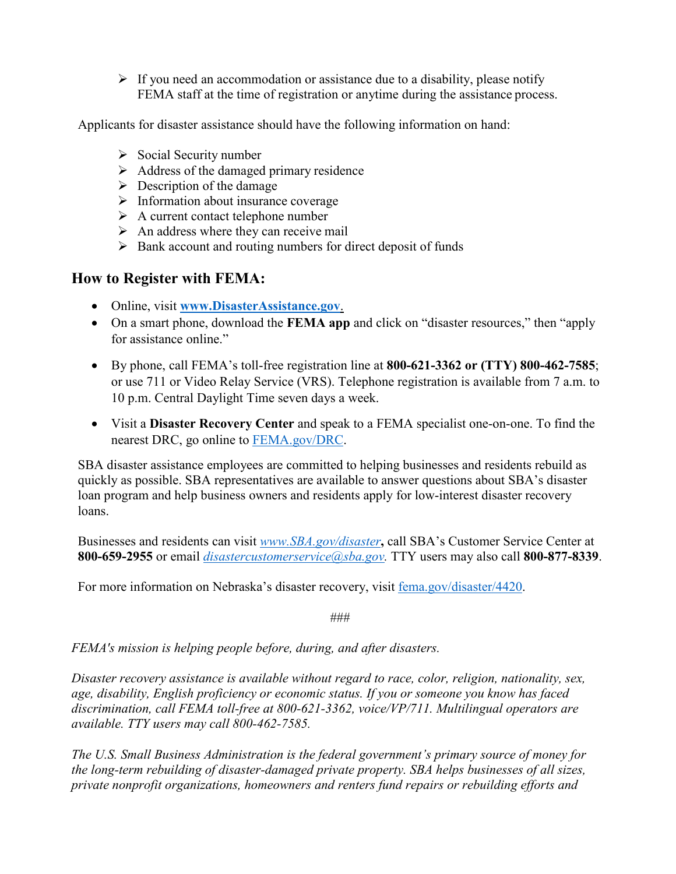$\triangleright$  If you need an accommodation or assistance due to a disability, please notify FEMA staff at the time of registration or anytime during the assistance process.

Applicants for disaster assistance should have the following information on hand:

- $\triangleright$  Social Security number
- $\triangleright$  Address of the damaged primary residence
- $\triangleright$  Description of the damage
- $\triangleright$  Information about insurance coverage
- $\triangleright$  A current contact telephone number
- $\triangleright$  An address where they can receive mail
- $\triangleright$  Bank account and routing numbers for direct deposit of funds

## **How to Register with FEMA:**

- Online, visit **[www.DisasterAssistance.gov](http://www.disasterassistance.gov/)**.
- On a smart phone, download the **FEMA app** and click on "disaster resources," then "apply for assistance online."
- By phone, call FEMA's toll-free registration line at **800-621-3362 or (TTY) 800-462-7585**; or use 711 or Video Relay Service (VRS). Telephone registration is available from 7 a.m. to 10 p.m. Central Daylight Time seven days a week.
- Visit a **Disaster Recovery Center** and speak to a FEMA specialist one-on-one. To find the nearest DRC, go online to [FEMA.gov/DRC.](https://www.fema.gov/disaster-recovery-centers)

SBA disaster assistance employees are committed to helping businesses and residents rebuild as quickly as possible. SBA representatives are available to answer questions about SBA's disaster loan program and help business owners and residents apply for low-interest disaster recovery loans.

Businesses and residents can visit *[www.SBA.gov/disaster](http://www.sba.gov/disaster)***,** call SBA's Customer Service Center at **800-659-2955** or email *[disastercustomerservice@sba.gov.](mailto:disastercustomerservice@sba.gov)* TTY users may also call **800-877-8339**.

For more information on Nebraska's disaster recovery, visit [fema.gov/disaster/4420.](https://www.fema.gov/disaster/4420)

###

*FEMA's mission is helping people before, during, and after disasters.*

*Disaster recovery assistance is available without regard to race, color, religion, nationality, sex, age, disability, English proficiency or economic status. If you or someone you know has faced discrimination, call FEMA toll-free at 800-621-3362, voice/VP/711. Multilingual operators are available. TTY users may call 800-462-7585.*

*The U.S. Small Business Administration is the federal government's primary source of money for the long-term rebuilding of disaster-damaged private property. SBA helps businesses of all sizes, private nonprofit organizations, homeowners and renters fund repairs or rebuilding efforts and*